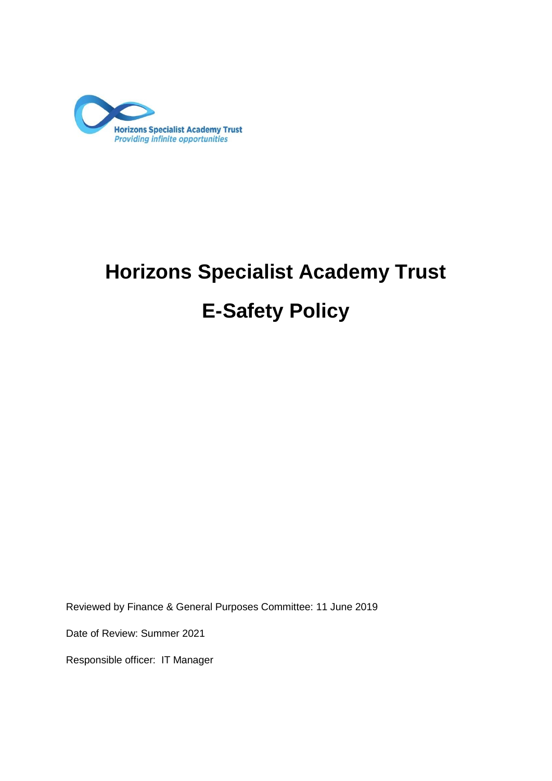

# **Horizons Specialist Academy Trust**

# **E-Safety Policy**

Reviewed by Finance & General Purposes Committee: 11 June 2019

Date of Review: Summer 2021

Responsible officer: IT Manager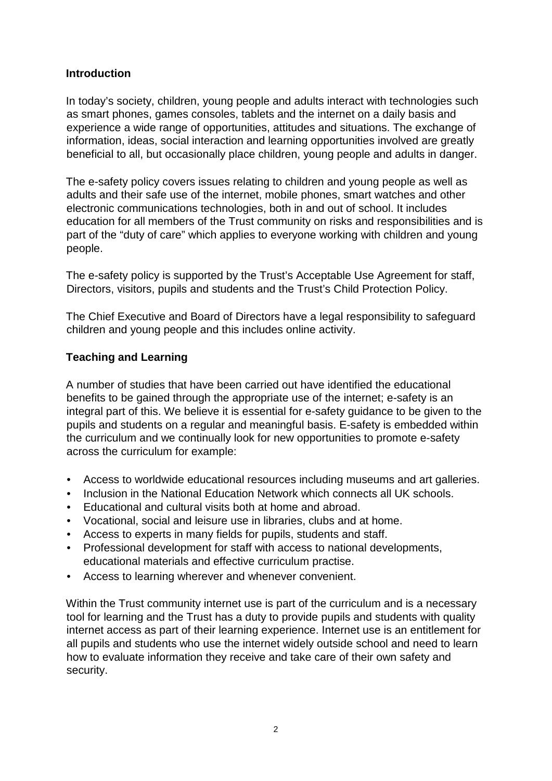#### **Introduction**

In today's society, children, young people and adults interact with technologies such as smart phones, games consoles, tablets and the internet on a daily basis and experience a wide range of opportunities, attitudes and situations. The exchange of information, ideas, social interaction and learning opportunities involved are greatly beneficial to all, but occasionally place children, young people and adults in danger.

The e-safety policy covers issues relating to children and young people as well as adults and their safe use of the internet, mobile phones, smart watches and other electronic communications technologies, both in and out of school. It includes education for all members of the Trust community on risks and responsibilities and is part of the "duty of care" which applies to everyone working with children and young people.

The e-safety policy is supported by the Trust's Acceptable Use Agreement for staff, Directors, visitors, pupils and students and the Trust's Child Protection Policy.

The Chief Executive and Board of Directors have a legal responsibility to safeguard children and young people and this includes online activity.

#### **Teaching and Learning**

A number of studies that have been carried out have identified the educational benefits to be gained through the appropriate use of the internet; e-safety is an integral part of this. We believe it is essential for e-safety guidance to be given to the pupils and students on a regular and meaningful basis. E-safety is embedded within the curriculum and we continually look for new opportunities to promote e-safety across the curriculum for example:

- Access to worldwide educational resources including museums and art galleries.
- Inclusion in the National Education Network which connects all UK schools.
- Educational and cultural visits both at home and abroad.
- Vocational, social and leisure use in libraries, clubs and at home.
- Access to experts in many fields for pupils, students and staff.
- Professional development for staff with access to national developments, educational materials and effective curriculum practise.
- Access to learning wherever and whenever convenient.

Within the Trust community internet use is part of the curriculum and is a necessary tool for learning and the Trust has a duty to provide pupils and students with quality internet access as part of their learning experience. Internet use is an entitlement for all pupils and students who use the internet widely outside school and need to learn how to evaluate information they receive and take care of their own safety and security.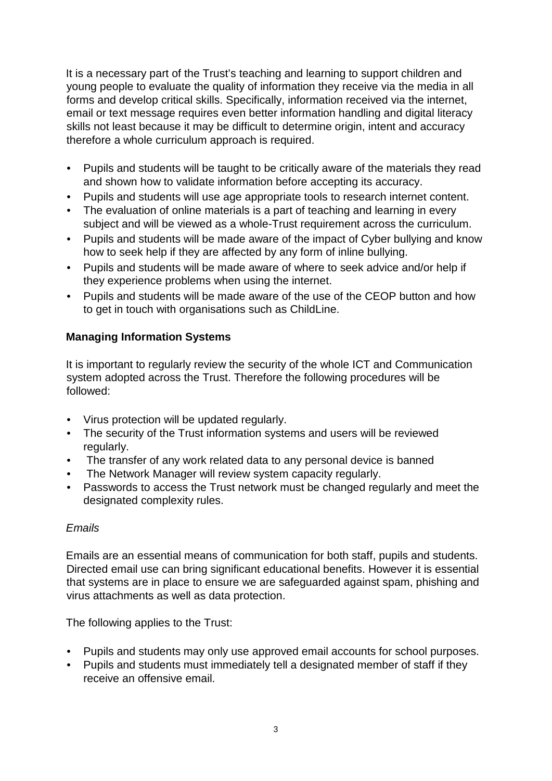It is a necessary part of the Trust's teaching and learning to support children and young people to evaluate the quality of information they receive via the media in all forms and develop critical skills. Specifically, information received via the internet, email or text message requires even better information handling and digital literacy skills not least because it may be difficult to determine origin, intent and accuracy therefore a whole curriculum approach is required.

- Pupils and students will be taught to be critically aware of the materials they read and shown how to validate information before accepting its accuracy.
- Pupils and students will use age appropriate tools to research internet content.
- The evaluation of online materials is a part of teaching and learning in every subject and will be viewed as a whole-Trust requirement across the curriculum.
- Pupils and students will be made aware of the impact of Cyber bullying and know how to seek help if they are affected by any form of inline bullying.
- Pupils and students will be made aware of where to seek advice and/or help if they experience problems when using the internet.
- Pupils and students will be made aware of the use of the CEOP button and how to get in touch with organisations such as ChildLine.

## **Managing Information Systems**

It is important to regularly review the security of the whole ICT and Communication system adopted across the Trust. Therefore the following procedures will be followed:

- Virus protection will be updated regularly.
- The security of the Trust information systems and users will be reviewed regularly.
- The transfer of any work related data to any personal device is banned
- The Network Manager will review system capacity regularly.
- Passwords to access the Trust network must be changed regularly and meet the designated complexity rules.

#### *Emails*

Emails are an essential means of communication for both staff, pupils and students. Directed email use can bring significant educational benefits. However it is essential that systems are in place to ensure we are safeguarded against spam, phishing and virus attachments as well as data protection.

The following applies to the Trust:

- Pupils and students may only use approved email accounts for school purposes.
- Pupils and students must immediately tell a designated member of staff if they receive an offensive email.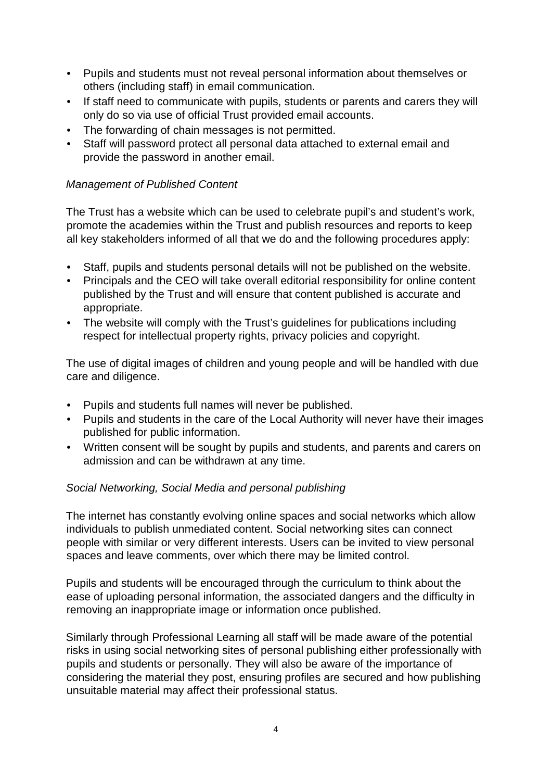- Pupils and students must not reveal personal information about themselves or others (including staff) in email communication.
- If staff need to communicate with pupils, students or parents and carers they will only do so via use of official Trust provided email accounts.
- The forwarding of chain messages is not permitted.
- Staff will password protect all personal data attached to external email and provide the password in another email.

#### *Management of Published Content*

The Trust has a website which can be used to celebrate pupil's and student's work, promote the academies within the Trust and publish resources and reports to keep all key stakeholders informed of all that we do and the following procedures apply:

- Staff, pupils and students personal details will not be published on the website.
- Principals and the CEO will take overall editorial responsibility for online content published by the Trust and will ensure that content published is accurate and appropriate.
- The website will comply with the Trust's guidelines for publications including respect for intellectual property rights, privacy policies and copyright.

The use of digital images of children and young people and will be handled with due care and diligence.

- Pupils and students full names will never be published.
- Pupils and students in the care of the Local Authority will never have their images published for public information.
- Written consent will be sought by pupils and students, and parents and carers on admission and can be withdrawn at any time.

#### *Social Networking, Social Media and personal publishing*

The internet has constantly evolving online spaces and social networks which allow individuals to publish unmediated content. Social networking sites can connect people with similar or very different interests. Users can be invited to view personal spaces and leave comments, over which there may be limited control.

Pupils and students will be encouraged through the curriculum to think about the ease of uploading personal information, the associated dangers and the difficulty in removing an inappropriate image or information once published.

Similarly through Professional Learning all staff will be made aware of the potential risks in using social networking sites of personal publishing either professionally with pupils and students or personally. They will also be aware of the importance of considering the material they post, ensuring profiles are secured and how publishing unsuitable material may affect their professional status.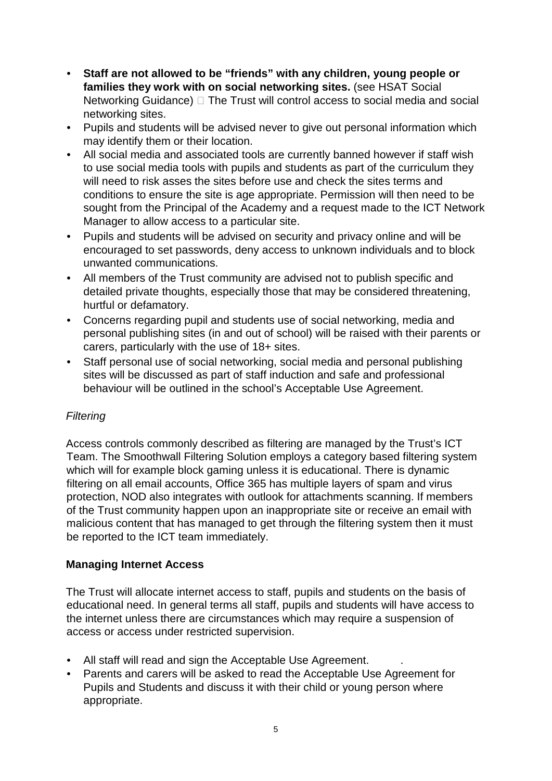- **Staff are not allowed to be "friends" with any children, young people or families they work with on social networking sites.** (see HSAT Social Networking Guidance)  $\Box$  The Trust will control access to social media and social networking sites.
- Pupils and students will be advised never to give out personal information which may identify them or their location.
- All social media and associated tools are currently banned however if staff wish to use social media tools with pupils and students as part of the curriculum they will need to risk asses the sites before use and check the sites terms and conditions to ensure the site is age appropriate. Permission will then need to be sought from the Principal of the Academy and a request made to the ICT Network Manager to allow access to a particular site.
- Pupils and students will be advised on security and privacy online and will be encouraged to set passwords, deny access to unknown individuals and to block unwanted communications.
- All members of the Trust community are advised not to publish specific and detailed private thoughts, especially those that may be considered threatening, hurtful or defamatory.
- Concerns regarding pupil and students use of social networking, media and personal publishing sites (in and out of school) will be raised with their parents or carers, particularly with the use of 18+ sites.
- Staff personal use of social networking, social media and personal publishing sites will be discussed as part of staff induction and safe and professional behaviour will be outlined in the school's Acceptable Use Agreement.

#### *Filtering*

Access controls commonly described as filtering are managed by the Trust's ICT Team. The Smoothwall Filtering Solution employs a category based filtering system which will for example block gaming unless it is educational. There is dynamic filtering on all email accounts, Office 365 has multiple layers of spam and virus protection, NOD also integrates with outlook for attachments scanning. If members of the Trust community happen upon an inappropriate site or receive an email with malicious content that has managed to get through the filtering system then it must be reported to the ICT team immediately.

#### **Managing Internet Access**

The Trust will allocate internet access to staff, pupils and students on the basis of educational need. In general terms all staff, pupils and students will have access to the internet unless there are circumstances which may require a suspension of access or access under restricted supervision.

- All staff will read and sign the Acceptable Use Agreement. .
- Parents and carers will be asked to read the Acceptable Use Agreement for Pupils and Students and discuss it with their child or young person where appropriate.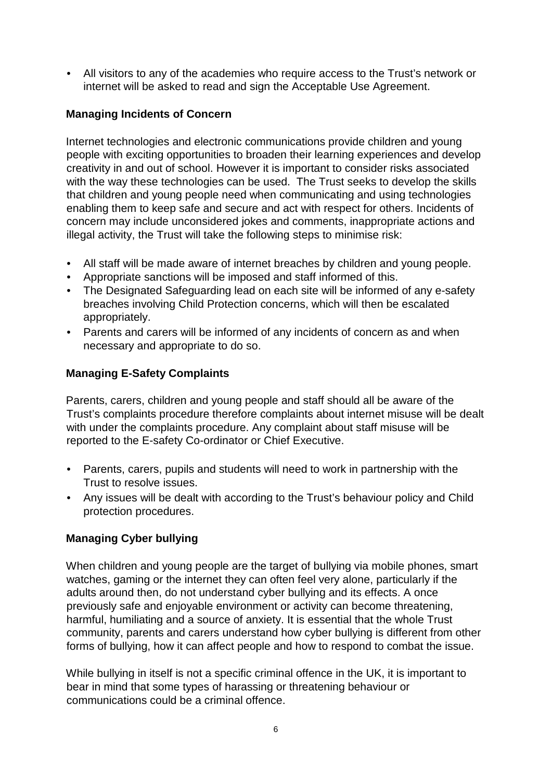• All visitors to any of the academies who require access to the Trust's network or internet will be asked to read and sign the Acceptable Use Agreement.

#### **Managing Incidents of Concern**

Internet technologies and electronic communications provide children and young people with exciting opportunities to broaden their learning experiences and develop creativity in and out of school. However it is important to consider risks associated with the way these technologies can be used. The Trust seeks to develop the skills that children and young people need when communicating and using technologies enabling them to keep safe and secure and act with respect for others. Incidents of concern may include unconsidered jokes and comments, inappropriate actions and illegal activity, the Trust will take the following steps to minimise risk:

- All staff will be made aware of internet breaches by children and young people.
- Appropriate sanctions will be imposed and staff informed of this.
- The Designated Safeguarding lead on each site will be informed of any e-safety breaches involving Child Protection concerns, which will then be escalated appropriately.
- Parents and carers will be informed of any incidents of concern as and when necessary and appropriate to do so.

#### **Managing E-Safety Complaints**

Parents, carers, children and young people and staff should all be aware of the Trust's complaints procedure therefore complaints about internet misuse will be dealt with under the complaints procedure. Any complaint about staff misuse will be reported to the E-safety Co-ordinator or Chief Executive.

- Parents, carers, pupils and students will need to work in partnership with the Trust to resolve issues.
- Any issues will be dealt with according to the Trust's behaviour policy and Child protection procedures.

#### **Managing Cyber bullying**

When children and young people are the target of bullying via mobile phones, smart watches, gaming or the internet they can often feel very alone, particularly if the adults around then, do not understand cyber bullying and its effects. A once previously safe and enjoyable environment or activity can become threatening, harmful, humiliating and a source of anxiety. It is essential that the whole Trust community, parents and carers understand how cyber bullying is different from other forms of bullying, how it can affect people and how to respond to combat the issue.

While bullying in itself is not a specific criminal offence in the UK, it is important to bear in mind that some types of harassing or threatening behaviour or communications could be a criminal offence.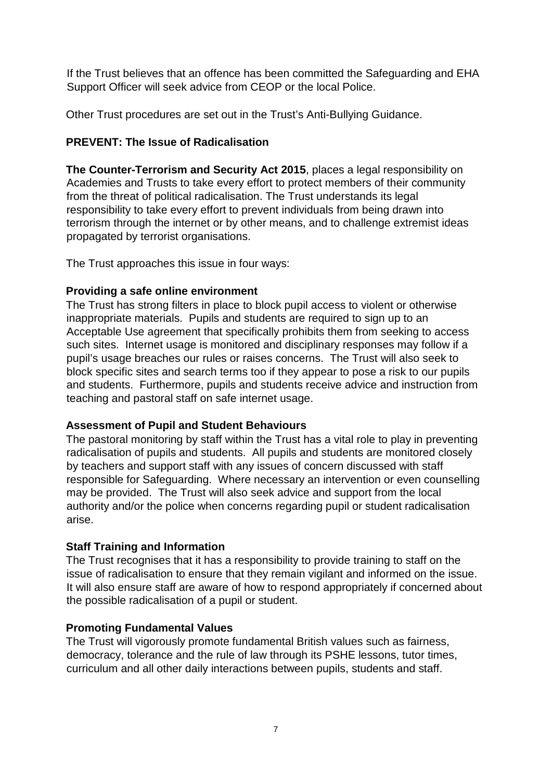If the Trust believes that an offence has been committed the Safeguarding and EHA Support Officer will seek advice from CEOP or the local Police.

Other Trust procedures are set out in the Trust's Anti-Bullying Guidance.

#### **PREVENT: The Issue of Radicalisation**

**The Counter-Terrorism and Security Act 2015**, places a legal responsibility on Academies and Trusts to take every effort to protect members of their community from the threat of political radicalisation. The Trust understands its legal responsibility to take every effort to prevent individuals from being drawn into terrorism through the internet or by other means, and to challenge extremist ideas propagated by terrorist organisations.

The Trust approaches this issue in four ways:

#### **Providing a safe online environment**

The Trust has strong filters in place to block pupil access to violent or otherwise inappropriate materials. Pupils and students are required to sign up to an Acceptable Use agreement that specifically prohibits them from seeking to access such sites. Internet usage is monitored and disciplinary responses may follow if a pupil's usage breaches our rules or raises concerns. The Trust will also seek to block specific sites and search terms too if they appear to pose a risk to our pupils and students. Furthermore, pupils and students receive advice and instruction from teaching and pastoral staff on safe internet usage.

#### **Assessment of Pupil and Student Behaviours**

The pastoral monitoring by staff within the Trust has a vital role to play in preventing radicalisation of pupils and students. All pupils and students are monitored closely by teachers and support staff with any issues of concern discussed with staff responsible for Safeguarding. Where necessary an intervention or even counselling may be provided. The Trust will also seek advice and support from the local authority and/or the police when concerns regarding pupil or student radicalisation arise.

#### **Staff Training and Information**

The Trust recognises that it has a responsibility to provide training to staff on the issue of radicalisation to ensure that they remain vigilant and informed on the issue. It will also ensure staff are aware of how to respond appropriately if concerned about the possible radicalisation of a pupil or student.

#### **Promoting Fundamental Values**

The Trust will vigorously promote fundamental British values such as fairness, democracy, tolerance and the rule of law through its PSHE lessons, tutor times, curriculum and all other daily interactions between pupils, students and staff.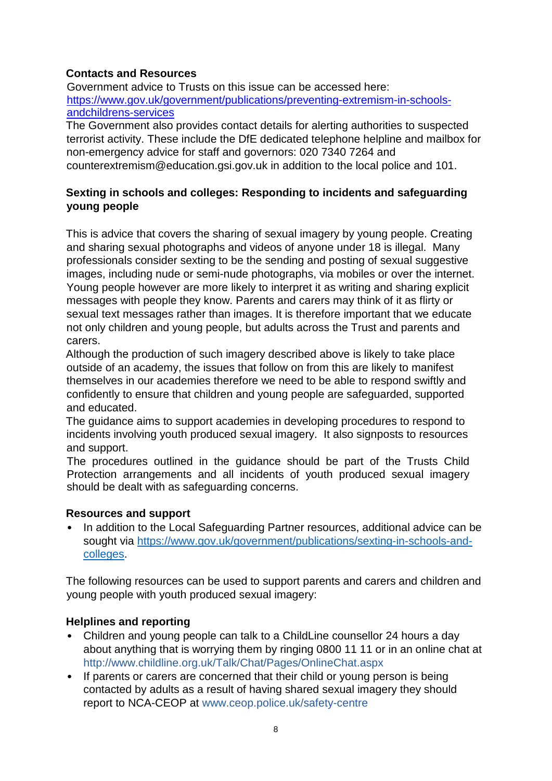## **Contacts and Resources**

Government advice to Trusts on this issue can be accessed here: [https://www.gov.uk/government/publications/preventing-extremism-in-schools](https://www.gov.uk/government/publications/preventing-extremism-in-schools-and-childrens-services)[andchildrens-services](https://www.gov.uk/government/publications/preventing-extremism-in-schools-and-childrens-services)

The Government also provides contact details for alerting authorities to suspected terrorist activity. These include the DfE dedicated telephone helpline and mailbox for non-emergency advice for staff and governors: 020 7340 7264 and counterextremism@education.gsi.gov.uk in addition to the local police and 101.

#### **Sexting in schools and colleges: Responding to incidents and safeguarding young people**

This is advice that covers the sharing of sexual imagery by young people. Creating and sharing sexual photographs and videos of anyone under 18 is illegal.Many professionals consider sexting to be the sending and posting of sexual suggestive images, including nude or semi-nude photographs, via mobiles or over the internet. Young people however are more likely to interpret it as writing and sharing explicit messages with people they know. Parents and carers may think of it as flirty or sexual text messages rather than images. It is therefore important that we educate not only children and young people, but adults across the Trust and parents and carers.

Although the production of such imagery described above is likely to take place outside of an academy, the issues that follow on from this are likely to manifest themselves in our academies therefore we need to be able to respond swiftly and confidently to ensure that children and young people are safeguarded, supported and educated.

The guidance aims to support academies in developing procedures to respond to incidents involving youth produced sexual imagery. It also signposts to resources and support.

The procedures outlined in the guidance should be part of the Trusts Child Protection arrangements and all incidents of youth produced sexual imagery should be dealt with as safeguarding concerns.

#### **Resources and support**

• In addition to the Local Safeguarding Partner resources, additional advice can be sought via [https://www.gov.uk/government/publications/sexting-in-schools-and](https://www.gov.uk/government/publications/sexting-in-schools-and-colleges)[colleges.](https://www.gov.uk/government/publications/sexting-in-schools-and-colleges)

The following resources can be used to support parents and carers and children and young people with youth produced sexual imagery:

#### **Helplines and reporting**

- Children and young people can talk to a ChildLine counsellor 24 hours a day about anything that is worrying them by ringing 0800 11 11 or in an online chat at http://www.childline.org.uk/Talk/Chat/Pages/OnlineChat.aspx
- If parents or carers are concerned that their child or young person is being contacted by adults as a result of having shared sexual imagery they should report to NCA-CEOP at www.ceop.police.uk/safety-centre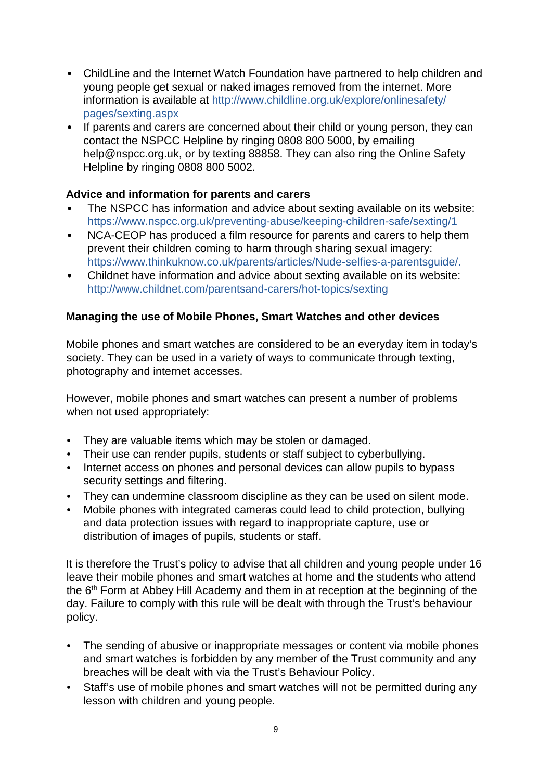- ChildLine and the Internet Watch Foundation have partnered to help children and young people get sexual or naked images removed from the internet. More information is available at http://www.childline.org.uk/explore/onlinesafety/ pages/sexting.aspx
- If parents and carers are concerned about their child or young person, they can contact the NSPCC Helpline by ringing 0808 800 5000, by emailing help@nspcc.org.uk, or by texting 88858. They can also ring the Online Safety Helpline by ringing 0808 800 5002.

#### **Advice and information for parents and carers**

- The NSPCC has information and advice about sexting available on its website: https://www.nspcc.org.uk/preventing-abuse/keeping-children-safe/sexting/1
- NCA-CEOP has produced a film resource for parents and carers to help them prevent their children coming to harm through sharing sexual imagery: https://www.thinkuknow.co.uk/parents/articles/Nude-selfies-a-parentsguide/.
- Childnet have information and advice about sexting available on its website: http://www.childnet.com/parentsand-carers/hot-topics/sexting

## **Managing the use of Mobile Phones, Smart Watches and other devices**

Mobile phones and smart watches are considered to be an everyday item in today's society. They can be used in a variety of ways to communicate through texting, photography and internet accesses.

However, mobile phones and smart watches can present a number of problems when not used appropriately:

- They are valuable items which may be stolen or damaged.
- Their use can render pupils, students or staff subject to cyberbullying.
- Internet access on phones and personal devices can allow pupils to bypass security settings and filtering.
- They can undermine classroom discipline as they can be used on silent mode.
- Mobile phones with integrated cameras could lead to child protection, bullying and data protection issues with regard to inappropriate capture, use or distribution of images of pupils, students or staff.

It is therefore the Trust's policy to advise that all children and young people under 16 leave their mobile phones and smart watches at home and the students who attend the 6<sup>th</sup> Form at Abbey Hill Academy and them in at reception at the beginning of the day. Failure to comply with this rule will be dealt with through the Trust's behaviour policy.

- The sending of abusive or inappropriate messages or content via mobile phones and smart watches is forbidden by any member of the Trust community and any breaches will be dealt with via the Trust's Behaviour Policy.
- Staff's use of mobile phones and smart watches will not be permitted during any lesson with children and young people.